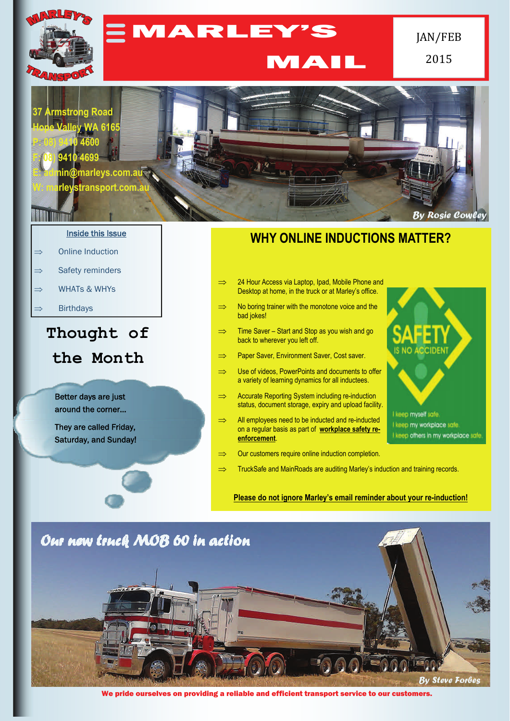

MARLEY'S

JAN/FEB 2015 

*By Rosie Cowley* 

## MAIL

**37 Armstrong Road WA** 

**P: 08) 9410 4600** 

**MANITES AND MANIFEST STATE** 

**F: 08) 9410 4699 marleys.com.au rleystransport.com.a** 

## Inside this Issue

- $\Rightarrow$  Online Induction
- $\Rightarrow$  Safety reminders
- $\Rightarrow$  WHATs & WHYS
- **Birthdays**

## **Thought of the Month**

Better days are just around the corner…

They are called Friday, Saturday, and Sunday!

## **WHY ONLINE INDUCTIONS MATTER?**

- $\implies$  24 Hour Access via Laptop, Ipad, Mobile Phone and Desktop at home, in the truck or at Marley's office.
- $\Rightarrow$  No boring trainer with the monotone voice and the bad jokes!
- $\implies$  Time Saver Start and Stop as you wish and go back to wherever you left off.
- $\implies$  Paper Saver, Environment Saver, Cost saver.
- $\Rightarrow$  Use of videos, PowerPoints and documents to offer a variety of learning dynamics for all inductees.
- $\implies$  Accurate Reporting System including re-induction status, document storage, expiry and upload facility.
- $\implies$  All employees need to be inducted and re-inducted on a regular basis as part of **workplace safety reenforcement**.
- $\Rightarrow$  Our customers require online induction completion.
- $\Rightarrow$  TruckSafe and MainRoads are auditing Marley's induction and training records.



**Please do not ignore Marley's email reminder about your re-induction!** 



We pride ourselves on providing a reliable and efficient transport service to our customers.